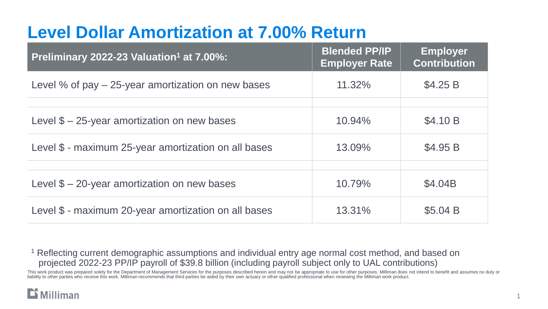## **Level Dollar Amortization at 7.00% Return**

| Preliminary 2022-23 Valuation <sup>1</sup> at 7.00%: | <b>Blended PP/IP</b><br><b>Employer Rate</b> | <b>Employer</b><br><b>Contribution</b> |
|------------------------------------------------------|----------------------------------------------|----------------------------------------|
| Level % of pay $-$ 25-year amortization on new bases | 11.32%                                       | \$4.25 B                               |
|                                                      |                                              |                                        |
| Level $$-25$ -year amortization on new bases         | 10.94%                                       | \$4.10 B                               |
| Level \$ - maximum 25-year amortization on all bases | 13.09%                                       | \$4.95 B                               |
|                                                      |                                              |                                        |
| Level $$ - 20$ -year amortization on new bases       | 10.79%                                       | \$4.04B                                |
| Level \$ - maximum 20-year amortization on all bases | 13.31%                                       | \$5.04 B                               |

<sup>1</sup> Reflecting current demographic assumptions and individual entry age normal cost method, and based on projected 2022-23 PP/IP payroll of \$39.8 billion (including payroll subject only to UAL contributions)

This work product was prepared solely for the Department of Management Services for the purposes described herein and may not be appropriate to use for other purposes. Milliman does not intend to benefit and assumes no dut liability to other parties who receive this work. Milliman recommends that third parties be aided by their own actuary or other qualified professional when reviewing the Milliman work product.

### $\mathbf{\mathbf{\Sigma}}$  Milliman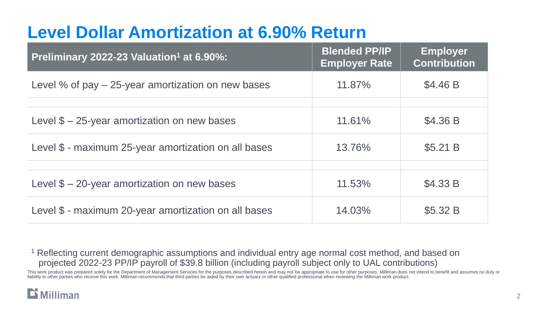## **Level Dollar Amortization at 6.90% Return**

| Preliminary 2022-23 Valuation <sup>1</sup> at 6.90%:   | <b>Blended PP/IP</b><br><b>Employer Rate</b> | <b>Employer</b><br><b>Contribution</b> |
|--------------------------------------------------------|----------------------------------------------|----------------------------------------|
| Level $%$ of pay $-$ 25-year amortization on new bases | 11.87%                                       | \$4.46 B                               |
|                                                        |                                              |                                        |
| Level $$ - 25$ -year amortization on new bases         | 11.61%                                       | \$4.36 B                               |
| Level \$ - maximum 25-year amortization on all bases   | 13.76%                                       | \$5.21 B                               |
|                                                        |                                              |                                        |
| Level $$ - 20$ -year amortization on new bases         | 11.53%                                       | \$4.33 B                               |
| Level \$ - maximum 20-year amortization on all bases   | 14.03%                                       | \$5.32 B                               |

<sup>1</sup> Reflecting current demographic assumptions and individual entry age normal cost method, and based on projected 2022-23 PP/IP payroll of \$39.8 billion (including payroll subject only to UAL contributions)

This work product was prepared solely for the Department of Management Services for the purposes described herein and may not be appropriate to use for other purposes. Milliman does not intend to benefit and assumes no dut liability to other parties who receive this work. Milliman recommends that third parties be aided by their own actuary or other qualified professional when reviewing the Milliman work product.

### $\mathbf{\mathbf{\Sigma}}$  Milliman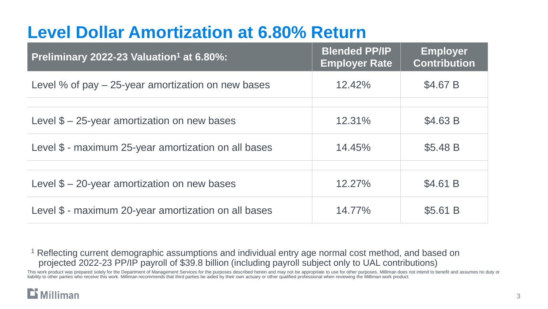## **Level Dollar Amortization at 6.80% Return**

| Preliminary 2022-23 Valuation <sup>1</sup> at 6.80%:   | <b>Blended PP/IP</b><br><b>Employer Rate</b> | <b>Employer</b><br><b>Contribution</b> |
|--------------------------------------------------------|----------------------------------------------|----------------------------------------|
| Level $%$ of pay $-$ 25-year amortization on new bases | 12.42%                                       | \$4.67 B                               |
|                                                        |                                              |                                        |
| Level $$-25$ -year amortization on new bases           | 12.31%                                       | \$4.63 B                               |
| Level \$ - maximum 25-year amortization on all bases   | 14.45%                                       | \$5.48 B                               |
|                                                        |                                              |                                        |
| Level $$ - 20$ -year amortization on new bases         | 12.27%                                       | \$4.61 B                               |
| Level \$ - maximum 20-year amortization on all bases   | 14.77%                                       | \$5.61 B                               |

<sup>1</sup> Reflecting current demographic assumptions and individual entry age normal cost method, and based on projected 2022-23 PP/IP payroll of \$39.8 billion (including payroll subject only to UAL contributions)

This work product was prepared solely for the Department of Management Services for the purposes described herein and may not be appropriate to use for other purposes. Milliman does not intend to benefit and assumes no dut liability to other parties who receive this work. Milliman recommends that third parties be aided by their own actuary or other qualified professional when reviewing the Milliman work product.

#### $\mathbf{\mathbf{\Sigma}}$  Milliman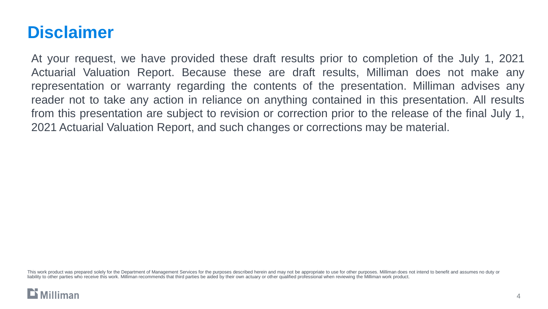## **Disclaimer**

At your request, we have provided these draft results prior to completion of the July 1, 2021 Actuarial Valuation Report. Because these are draft results, Milliman does not make any representation or warranty regarding the contents of the presentation. Milliman advises any reader not to take any action in reliance on anything contained in this presentation. All results from this presentation are subject to revision or correction prior to the release of the final July 1, 2021 Actuarial Valuation Report, and such changes or corrections may be material.

This work product was prepared solely for the Department of Management Services for the purposes described herein and may not be appropriate to use for other purposes. Milliman does not intend to benefit and assumes no dut liability to other parties who receive this work. Milliman recommends that third parties be aided by their own actuary or other qualified professional when reviewing the Milliman work product.

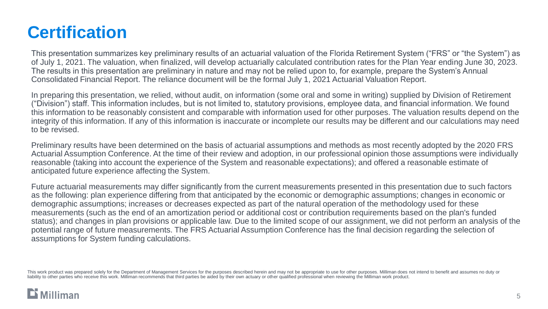## **Certification**

This presentation summarizes key preliminary results of an actuarial valuation of the Florida Retirement System ("FRS" or "the System") as of July 1, 2021. The valuation, when finalized, will develop actuarially calculated contribution rates for the Plan Year ending June 30, 2023. The results in this presentation are preliminary in nature and may not be relied upon to, for example, prepare the System's Annual Consolidated Financial Report. The reliance document will be the formal July 1, 2021 Actuarial Valuation Report.

In preparing this presentation, we relied, without audit, on information (some oral and some in writing) supplied by Division of Retirement ("Division") staff. This information includes, but is not limited to, statutory provisions, employee data, and financial information. We found this information to be reasonably consistent and comparable with information used for other purposes. The valuation results depend on the integrity of this information. If any of this information is inaccurate or incomplete our results may be different and our calculations may need to be revised.

Preliminary results have been determined on the basis of actuarial assumptions and methods as most recently adopted by the 2020 FRS Actuarial Assumption Conference. At the time of their review and adoption, in our professional opinion those assumptions were individually reasonable (taking into account the experience of the System and reasonable expectations); and offered a reasonable estimate of anticipated future experience affecting the System.

Future actuarial measurements may differ significantly from the current measurements presented in this presentation due to such factors as the following: plan experience differing from that anticipated by the economic or demographic assumptions; changes in economic or demographic assumptions; increases or decreases expected as part of the natural operation of the methodology used for these measurements (such as the end of an amortization period or additional cost or contribution requirements based on the plan's funded status); and changes in plan provisions or applicable law. Due to the limited scope of our assignment, we did not perform an analysis of the potential range of future measurements. The FRS Actuarial Assumption Conference has the final decision regarding the selection of assumptions for System funding calculations.

This work product was prepared solely for the Department of Management Services for the purposes described herein and may not be appropriate to use for other purposes. Milliman does not intend to benefit and assumes no dut liability to other parties who receive this work. Milliman recommends that third parties be aided by their own actuary or other qualified professional when reviewing the Milliman work product.

### **Milliman**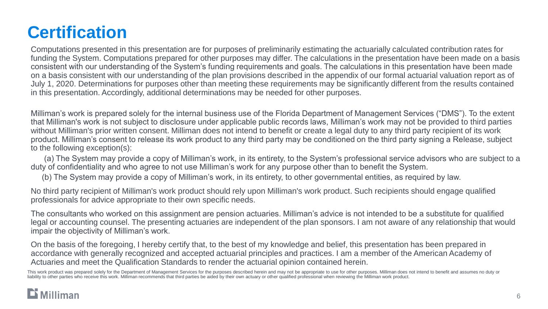# **Certification**

Computations presented in this presentation are for purposes of preliminarily estimating the actuarially calculated contribution rates for funding the System. Computations prepared for other purposes may differ. The calculations in the presentation have been made on a basis consistent with our understanding of the System's funding requirements and goals. The calculations in this presentation have been made on a basis consistent with our understanding of the plan provisions described in the appendix of our formal actuarial valuation report as of July 1, 2020. Determinations for purposes other than meeting these requirements may be significantly different from the results contained in this presentation. Accordingly, additional determinations may be needed for other purposes.

Milliman's work is prepared solely for the internal business use of the Florida Department of Management Services ("DMS"). To the extent that Milliman's work is not subject to disclosure under applicable public records laws, Milliman's work may not be provided to third parties without Milliman's prior written consent. Milliman does not intend to benefit or create a legal duty to any third party recipient of its work product. Milliman's consent to release its work product to any third party may be conditioned on the third party signing a Release, subject to the following exception(s):

(a) The System may provide a copy of Milliman's work, in its entirety, to the System's professional service advisors who are subject to a duty of confidentiality and who agree to not use Milliman's work for any purpose other than to benefit the System.

(b) The System may provide a copy of Milliman's work, in its entirety, to other governmental entities, as required by law.

No third party recipient of Milliman's work product should rely upon Milliman's work product. Such recipients should engage qualified professionals for advice appropriate to their own specific needs.

The consultants who worked on this assignment are pension actuaries. Milliman's advice is not intended to be a substitute for qualified legal or accounting counsel. The presenting actuaries are independent of the plan sponsors. I am not aware of any relationship that would impair the objectivity of Milliman's work.

On the basis of the foregoing, I hereby certify that, to the best of my knowledge and belief, this presentation has been prepared in accordance with generally recognized and accepted actuarial principles and practices. I am a member of the American Academy of Actuaries and meet the Qualification Standards to render the actuarial opinion contained herein.

This work product was prepared solely for the Department of Management Services for the purposes described herein and may not be appropriate to use for other purposes. Milliman does not intend to benefit and assumes no dut liability to other parties who receive this work. Milliman recommends that third parties be aided by their own actuary or other qualified professional when reviewing the Milliman work product.

### **Milliman**